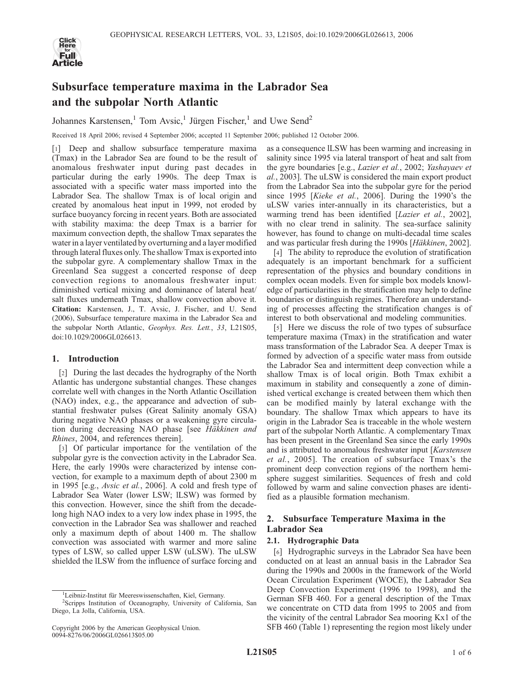

# Subsurface temperature maxima in the Labrador Sea and the subpolar North Atlantic

Johannes Karstensen,<sup>1</sup> Tom Avsic,<sup>1</sup> Jürgen Fischer,<sup>1</sup> and Uwe Send<sup>2</sup>

Received 18 April 2006; revised 4 September 2006; accepted 11 September 2006; published 12 October 2006.

[1] Deep and shallow subsurface temperature maxima (Tmax) in the Labrador Sea are found to be the result of anomalous freshwater input during past decades in particular during the early 1990s. The deep Tmax is associated with a specific water mass imported into the Labrador Sea. The shallow Tmax is of local origin and created by anomalous heat input in 1999, not eroded by surface buoyancy forcing in recent years. Both are associated with stability maxima: the deep Tmax is a barrier for maximum convection depth, the shallow Tmax separates the water in a layer ventilated by overturning and a layer modified through lateral fluxes only. The shallow Tmax is exported into the subpolar gyre. A complementary shallow Tmax in the Greenland Sea suggest a concerted response of deep convection regions to anomalous freshwater input: diminished vertical mixing and dominance of lateral heat/ salt fluxes underneath Tmax, shallow convection above it. Citation: Karstensen, J., T. Avsic, J. Fischer, and U. Send (2006), Subsurface temperature maxima in the Labrador Sea and the subpolar North Atlantic, Geophys. Res. Lett., 33, L21S05, doi:10.1029/2006GL026613.

## 1. Introduction

[2] During the last decades the hydrography of the North Atlantic has undergone substantial changes. These changes correlate well with changes in the North Atlantic Oscillation (NAO) index, e.g., the appearance and advection of substantial freshwater pulses (Great Salinity anomaly GSA) during negative NAO phases or a weakening gyre circulation during decreasing NAO phase [see Häkkinen and Rhines, 2004, and references therein].

[3] Of particular importance for the ventilation of the subpolar gyre is the convection activity in the Labrador Sea. Here, the early 1990s were characterized by intense convection, for example to a maximum depth of about 2300 m in 1995 [e.g., Avsic et al., 2006]. A cold and fresh type of Labrador Sea Water (lower LSW; lLSW) was formed by this convection. However, since the shift from the decadelong high NAO index to a very low index phase in 1995, the convection in the Labrador Sea was shallower and reached only a maximum depth of about 1400 m. The shallow convection was associated with warmer and more saline types of LSW, so called upper LSW (uLSW). The uLSW shielded the lLSW from the influence of surface forcing and

as a consequence lLSW has been warming and increasing in salinity since 1995 via lateral transport of heat and salt from the gyre boundaries [e.g., Lazier et al., 2002; Yashayaev et al., 2003]. The uLSW is considered the main export product from the Labrador Sea into the subpolar gyre for the period since 1995 [Kieke et al., 2006]. During the 1990's the uLSW varies inter-annually in its characteristics, but a warming trend has been identified [*Lazier et al.*, 2002], with no clear trend in salinity. The sea-surface salinity however, has found to change on multi-decadal time scales and was particular fresh during the 1990s [Häkkinen, 2002].

[4] The ability to reproduce the evolution of stratification adequately is an important benchmark for a sufficient representation of the physics and boundary conditions in complex ocean models. Even for simple box models knowledge of particularities in the stratification may help to define boundaries or distinguish regimes. Therefore an understanding of processes affecting the stratification changes is of interest to both observational and modeling communities.

[5] Here we discuss the role of two types of subsurface temperature maxima (Tmax) in the stratification and water mass transformation of the Labrador Sea. A deeper Tmax is formed by advection of a specific water mass from outside the Labrador Sea and intermittent deep convection while a shallow Tmax is of local origin. Both Tmax exhibit a maximum in stability and consequently a zone of diminished vertical exchange is created between them which then can be modified mainly by lateral exchange with the boundary. The shallow Tmax which appears to have its origin in the Labrador Sea is traceable in the whole western part of the subpolar North Atlantic. A complementary Tmax has been present in the Greenland Sea since the early 1990s and is attributed to anomalous freshwater input [Karstensen et al., 2005]. The creation of subsurface Tmax's the prominent deep convection regions of the northern hemisphere suggest similarities. Sequences of fresh and cold followed by warm and saline convection phases are identified as a plausible formation mechanism.

## 2. Subsurface Temperature Maxima in the Labrador Sea

## 2.1. Hydrographic Data

[6] Hydrographic surveys in the Labrador Sea have been conducted on at least an annual basis in the Labrador Sea during the 1990s and 2000s in the framework of the World Ocean Circulation Experiment (WOCE), the Labrador Sea Deep Convection Experiment (1996 to 1998), and the German SFB 460. For a general description of the Tmax we concentrate on CTD data from 1995 to 2005 and from the vicinity of the central Labrador Sea mooring Kx1 of the SFB 460 (Table 1) representing the region most likely under

<sup>&</sup>lt;sup>1</sup>Leibniz-Institut für Meereswissenschaften, Kiel, Germany.<br><sup>2</sup>Scrippe Institution of Oceanography, University of Coli

<sup>&</sup>lt;sup>2</sup>Scripps Institution of Oceanography, University of California, San Diego, La Jolla, California, USA.

Copyright 2006 by the American Geophysical Union. 0094-8276/06/2006GL026613\$05.00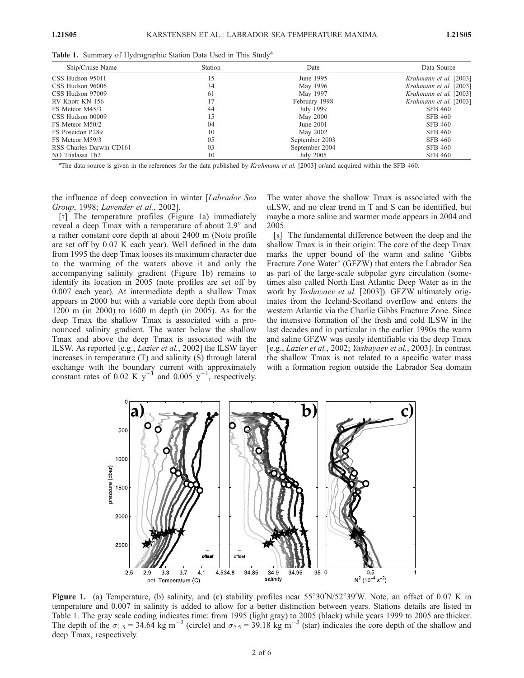| Ship/Cruise Name            | Station | Date           | Data Source            |
|-----------------------------|---------|----------------|------------------------|
| CSS Hudson 95011            | 15      | June 1995      | Krahmann et al. [2003] |
| CSS Hudson 96006            | 34      | May 1996       | Krahmann et al. [2003] |
| CSS Hudson 97009            | 61      | May 1997       | Krahmann et al. [2003] |
| RV Knorr KN 156             | 17      | February 1998  | Krahmann et al. [2003] |
| FS Meteor M45/3             | 44      | July 1999      | SFB 460                |
| CSS Hudson 00009            | 15      | May 2000       | <b>SFB 460</b>         |
| FS Meteor M50/2             | 04      | June 2001      | <b>SFB 460</b>         |
| FS Poseidon P289            | 10      | May 2002       | <b>SFB 460</b>         |
| FS Meteor M59/3             | 05      | September 2003 | SFB 460                |
| RSS Charles Darwin CD161    | 03      | September 2004 | <b>SFB 460</b>         |
| NO Thalassa Th <sub>2</sub> | 10      | July 2005      | <b>SFB 460</b>         |

Table 1. Summary of Hydrographic Station Data Used in This Study<sup>a</sup>

<sup>a</sup>The data source is given in the references for the data published by *Krahmann et al.* [2003] or/and acquired within the SFB 460.

the influence of deep convection in winter [Labrador Sea Group, 1998; Lavender et al., 2002].

[7] The temperature profiles (Figure 1a) immediately reveal a deep Tmax with a temperature of about 2.9° and a rather constant core depth at about 2400 m (Note profile are set off by 0.07 K each year). Well defined in the data from 1995 the deep Tmax looses its maximum character due to the warming of the waters above it and only the accompanying salinity gradient (Figure 1b) remains to identify its location in 2005 (note profiles are set off by 0.007 each year). At intermediate depth a shallow Tmax appears in 2000 but with a variable core depth from about 1200 m (in 2000) to 1600 m depth (in 2005). As for the deep Tmax the shallow Tmax is associated with a pronounced salinity gradient. The water below the shallow Tmax and above the deep Tmax is associated with the lLSW. As reported [e.g., Lazier et al., 2002] the lLSW layer increases in temperature (T) and salinity (S) through lateral exchange with the boundary current with approximately constant rates of 0.02 K  $y^{-1}$  and 0.005  $y^{-1}$ , respectively.

The water above the shallow Tmax is associated with the uLSW, and no clear trend in T and S can be identified, but maybe a more saline and warmer mode appears in 2004 and 2005.

[8] The fundamental difference between the deep and the shallow Tmax is in their origin: The core of the deep Tmax marks the upper bound of the warm and saline 'Gibbs Fracture Zone Water' (GFZW) that enters the Labrador Sea as part of the large-scale subpolar gyre circulation (sometimes also called North East Atlantic Deep Water as in the work by Yashayaev et al. [2003]). GFZW ultimately originates from the Iceland-Scotland overflow and enters the western Atlantic via the Charlie Gibbs Fracture Zone. Since the intensive formation of the fresh and cold lLSW in the last decades and in particular in the earlier 1990s the warm and saline GFZW was easily identifiable via the deep Tmax [e.g., Lazier et al., 2002; Yashayaev et al., 2003]. In contrast the shallow Tmax is not related to a specific water mass with a formation region outside the Labrador Sea domain



Figure 1. (a) Temperature, (b) salinity, and (c) stability profiles near 55°30'N/52°39'W. Note, an offset of 0.07 K in temperature and 0.007 in salinity is added to allow for a better distinction between years. Stations details are listed in Table 1. The gray scale coding indicates time: from 1995 (light gray) to 2005 (black) while years 1999 to 2005 are thicker. The depth of the  $\sigma_{1.5}$  = 34.64 kg m<sup>-3</sup> (circle) and  $\sigma_{2.5}$  = 39.18 kg m<sup>-3</sup> (star) indicates the core depth of the shallow and deep Tmax, respectively.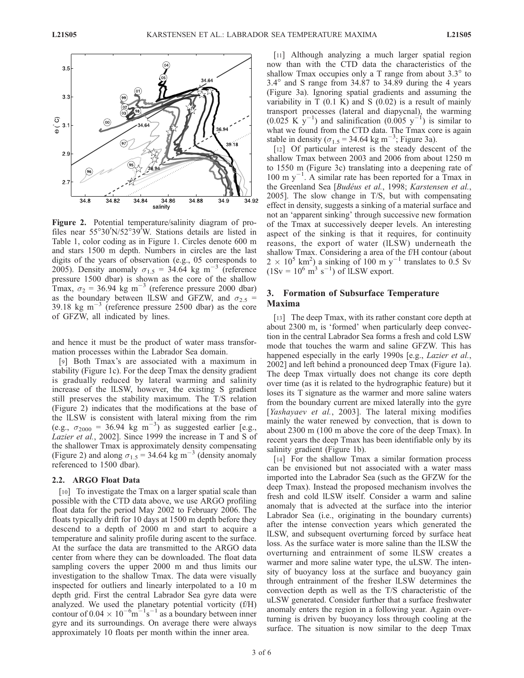

Figure 2. Potential temperature/salinity diagram of profiles near 55°30'N/52°39<sup>'</sup>W. Stations details are listed in Table 1, color coding as in Figure 1. Circles denote 600 m and stars 1500 m depth. Numbers in circles are the last digits of the years of observation (e.g., 05 corresponds to 2005). Density anomaly  $\sigma_{1.5}$  = 34.64 kg m<sup>-3</sup> (reference pressure 1500 dbar) is shown as the core of the shallow Tmax,  $\sigma_2$  = 36.94 kg m<sup>-3</sup> (reference pressure 2000 dbar) as the boundary between ILSW and GFZW, and  $\sigma_{2.5}$  = 39.18 kg  $\text{m}^{-3}$  (reference pressure 2500 dbar) as the core of GFZW, all indicated by lines.

and hence it must be the product of water mass transformation processes within the Labrador Sea domain.

[9] Both Tmax's are associated with a maximum in stability (Figure 1c). For the deep Tmax the density gradient is gradually reduced by lateral warming and salinity increase of the lLSW, however, the existing S gradient still preserves the stability maximum. The T/S relation (Figure 2) indicates that the modifications at the base of the lLSW is consistent with lateral mixing from the rim (e.g.,  $\sigma_{2000} = 36.94 \text{ kg m}^{-3}$ ) as suggested earlier [e.g., Lazier et al., 2002]. Since 1999 the increase in T and S of the shallower Tmax is approximately density compensating (Figure 2) and along  $\sigma_{1.5}$  = 34.64 kg m<sup>-3</sup> (density anomaly referenced to 1500 dbar).

#### 2.2. ARGO Float Data

[10] To investigate the Tmax on a larger spatial scale than possible with the CTD data above, we use ARGO profiling float data for the period May 2002 to February 2006. The floats typically drift for 10 days at 1500 m depth before they descend to a depth of 2000 m and start to acquire a temperature and salinity profile during ascent to the surface. At the surface the data are transmitted to the ARGO data center from where they can be downloaded. The float data sampling covers the upper 2000 m and thus limits our investigation to the shallow Tmax. The data were visually inspected for outliers and linearly interpolated to a 10 m depth grid. First the central Labrador Sea gyre data were analyzed. We used the planetary potential vorticity (f/H) contour of  $0.04 \times 10^{-6}$ m<sup>-1</sup>s<sup>-1</sup> as a boundary between inner gyre and its surroundings. On average there were always approximately 10 floats per month within the inner area.

[11] Although analyzing a much larger spatial region now than with the CTD data the characteristics of the shallow Tmax occupies only a T range from about  $3.3^\circ$  to  $3.4^\circ$  and S range from  $34.87$  to  $34.89$  during the 4 years (Figure 3a). Ignoring spatial gradients and assuming the variability in  $T(0.1 K)$  and  $S(0.02)$  is a result of mainly transport processes (lateral and diapycnal), the warming  $(0.025 \text{ K y}^{-1})$  and salinification  $(0.005 \text{ y}^{-1})$  is similar to what we found from the CTD data. The Tmax core is again stable in density ( $\sigma_{1.5}$  = 34.64 kg m<sup>-3</sup>; Figure 3a).

[12] Of particular interest is the steady descent of the shallow Tmax between 2003 and 2006 from about 1250 m to 1550 m (Figure 3c) translating into a deepening rate of  $100 \text{ m y}^{-1}$ . A similar rate has been reported for a Tmax in the Greenland Sea [Budéus et al., 1998; Karstensen et al., 2005]. The slow change in T/S, but with compensating effect in density, suggests a sinking of a material surface and not an 'apparent sinking' through successive new formation of the Tmax at successively deeper levels. An interesting aspect of the sinking is that it requires, for continuity reasons, the export of water (lLSW) underneath the shallow Tmax. Considering a area of the f/H contour (about  $2 \times 10^5$  km<sup>2</sup>) a sinking of 100 m y<sup>-1</sup> translates to 0.5 Sv  $(1 \text{Sv} = 10^6 \text{ m}^3 \text{ s}^{-1})$  of ILSW export.

## 3. Formation of Subsurface Temperature Maxima

[13] The deep Tmax, with its rather constant core depth at about 2300 m, is 'formed' when particularly deep convection in the central Labrador Sea forms a fresh and cold LSW mode that touches the warm and saline GFZW. This has happened especially in the early 1990s [e.g., *Lazier et al.*, 2002] and left behind a pronounced deep Tmax (Figure 1a). The deep Tmax virtually does not change its core depth over time (as it is related to the hydrographic feature) but it loses its T signature as the warmer and more saline waters from the boundary current are mixed laterally into the gyre [Yashayaev et al., 2003]. The lateral mixing modifies mainly the water renewed by convection, that is down to about 2300 m (100 m above the core of the deep Tmax). In recent years the deep Tmax has been identifiable only by its salinity gradient (Figure 1b).

[14] For the shallow Tmax a similar formation process can be envisioned but not associated with a water mass imported into the Labrador Sea (such as the GFZW for the deep Tmax). Instead the proposed mechanism involves the fresh and cold lLSW itself. Consider a warm and saline anomaly that is advected at the surface into the interior Labrador Sea (i.e., originating in the boundary currents) after the intense convection years which generated the lLSW, and subsequent overturning forced by surface heat loss. As the surface water is more saline than the lLSW the overturning and entrainment of some lLSW creates a warmer and more saline water type, the uLSW. The intensity of buoyancy loss at the surface and buoyancy gain through entrainment of the fresher lLSW determines the convection depth as well as the T/S characteristic of the uLSW generated. Consider further that a surface freshwater anomaly enters the region in a following year. Again overturning is driven by buoyancy loss through cooling at the surface. The situation is now similar to the deep Tmax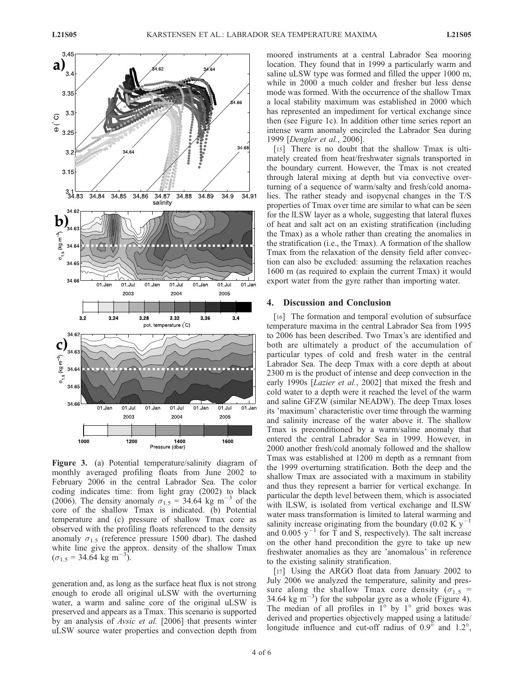

Figure 3. (a) Potential temperature/salinity diagram of monthly averaged profiling floats from June 2002 to February 2006 in the central Labrador Sea. The color coding indicates time: from light gray (2002) to black (2006). The density anomaly  $\sigma_{1.5}$  = 34.64 kg m<sup>-3</sup> of the core of the shallow Tmax is indicated. (b) Potential temperature and (c) pressure of shallow Tmax core as observed with the profiling floats referenced to the density anomaly  $\sigma_{1.5}$  (reference pressure 1500 dbar). The dashed white line give the approx. density of the shallow Tmax  $(\sigma_{1.5} = 34.64 \text{ kg m}^{-3}).$ 

generation and, as long as the surface heat flux is not strong enough to erode all original uLSW with the overturning water, a warm and saline core of the original uLSW is preserved and appears as a Tmax. This scenario is supported by an analysis of Avsic et al. [2006] that presents winter uLSW source water properties and convection depth from moored instruments at a central Labrador Sea mooring location. They found that in 1999 a particularly warm and saline uLSW type was formed and filled the upper 1000 m, while in 2000 a much colder and fresher but less dense mode was formed. With the occurrence of the shallow Tmax a local stability maximum was established in 2000 which has represented an impediment for vertical exchange since then (see Figure 1c). In addition other time series report an intense warm anomaly encircled the Labrador Sea during 1999 [Dengler et al., 2006].

[15] There is no doubt that the shallow Tmax is ultimately created from heat/freshwater signals transported in the boundary current. However, the Tmax is not created through lateral mixing at depth but via convective overturning of a sequence of warm/salty and fresh/cold anomalies. The rather steady and isopycnal changes in the T/S properties of Tmax over time are similar to what can be seen for the lLSW layer as a whole, suggesting that lateral fluxes of heat and salt act on an existing stratification (including the Tmax) as a whole rather than creating the anomalies in the stratification (i.e., the Tmax). A formation of the shallow Tmax from the relaxation of the density field after convection can also be excluded: assuming the relaxation reaches 1600 m (as required to explain the current Tmax) it would export water from the gyre rather than importing water.

#### 4. Discussion and Conclusion

[16] The formation and temporal evolution of subsurface temperature maxima in the central Labrador Sea from 1995 to 2006 has been described. Two Tmax's are identified and both are ultimately a product of the accumulation of particular types of cold and fresh water in the central Labrador Sea. The deep Tmax with a core depth at about 2300 m is the product of intense and deep convection in the early 1990s [*Lazier et al.*, 2002] that mixed the fresh and cold water to a depth were it reached the level of the warm and saline GFZW (similar NEADW). The deep Tmax loses its 'maximum' characteristic over time through the warming and salinity increase of the water above it. The shallow Tmax is preconditioned by a warm/saline anomaly that entered the central Labrador Sea in 1999. However, in 2000 another fresh/cold anomaly followed and the shallow Tmax was established at 1200 m depth as a remnant from the 1999 overturning stratification. Both the deep and the shallow Tmax are associated with a maximum in stability and thus they represent a barrier for vertical exchange. In particular the depth level between them, which is associated with lLSW, is isolated from vertical exchange and lLSW water mass transformation is limited to lateral warming and salinity increase originating from the boundary (0.02 K  $y$ <sup>-</sup> and 0.005  $y^{-1}$  for T and S, respectively). The salt increase on the other hand precondition the gyre to take up new freshwater anomalies as they are 'anomalous' in reference to the existing salinity stratification.

[17] Using the ARGO float data from January 2002 to July 2006 we analyzed the temperature, salinity and pressure along the shallow Tmax core density ( $\sigma_1$ , = 34.64 kg  $\text{m}^{-3}$ ) for the subpolar gyre as a whole (Figure 4). The median of all profiles in  $1^{\circ}$  by  $1^{\circ}$  grid boxes was derived and properties objectively mapped using a latitude/ longitude influence and cut-off radius of  $0.9^{\circ}$  and  $1.2^{\circ}$ ,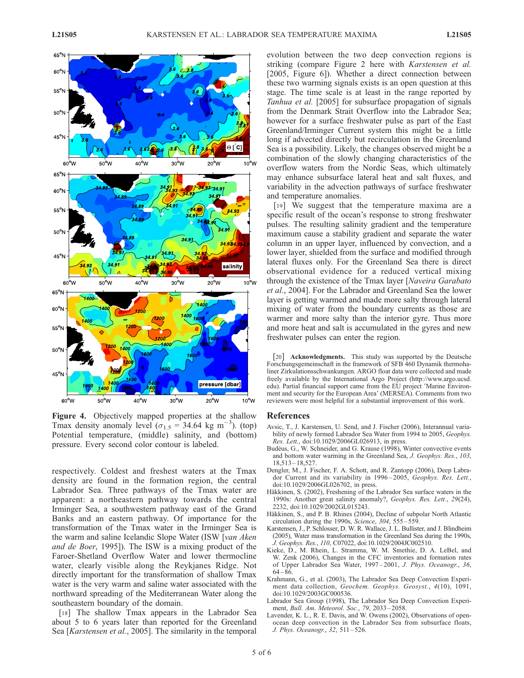

Figure 4. Objectively mapped properties at the shallow Tmax density anomaly level  $(\sigma_{1.5} = 34.64 \text{ kg m}^{-3})$ . (top) Potential temperature, (middle) salinity, and (bottom) pressure. Every second color contour is labeled.

respectively. Coldest and freshest waters at the Tmax density are found in the formation region, the central Labrador Sea. Three pathways of the Tmax water are apparent: a northeastern pathway towards the central Irminger Sea, a southwestern pathway east of the Grand Banks and an eastern pathway. Of importance for the transformation of the Tmax water in the Irminger Sea is the warm and saline Icelandic Slope Water (ISW [van Aken and de Boer, 1995]). The ISW is a mixing product of the Faroer-Shetland Overflow Water and lower thermocline water, clearly visible along the Reykjanes Ridge. Not directly important for the transformation of shallow Tmax water is the very warm and saline water associated with the northward spreading of the Mediterranean Water along the southeastern boundary of the domain.

[18] The shallow Tmax appears in the Labrador Sea about 5 to 6 years later than reported for the Greenland Sea [*Karstensen et al.*, 2005]. The similarity in the temporal evolution between the two deep convection regions is striking (compare Figure 2 here with Karstensen et al. [2005, Figure 6]). Whether a direct connection between these two warming signals exists is an open question at this stage. The time scale is at least in the range reported by Tanhua et al. [2005] for subsurface propagation of signals from the Denmark Strait Overflow into the Labrador Sea; however for a surface freshwater pulse as part of the East Greenland/Irminger Current system this might be a little long if advected directly but recirculation in the Greenland Sea is a possibility. Likely, the changes observed might be a combination of the slowly changing characteristics of the overflow waters from the Nordic Seas, which ultimately may enhance subsurface lateral heat and salt fluxes, and variability in the advection pathways of surface freshwater and temperature anomalies.

[19] We suggest that the temperature maxima are a specific result of the ocean's response to strong freshwater pulses. The resulting salinity gradient and the temperature maximum cause a stability gradient and separate the water column in an upper layer, influenced by convection, and a lower layer, shielded from the surface and modified through lateral fluxes only. For the Greenland Sea there is direct observational evidence for a reduced vertical mixing through the existence of the Tmax layer [Naveira Garabato et al., 2004]. For the Labrador and Greenland Sea the lower layer is getting warmed and made more salty through lateral mixing of water from the boundary currents as those are warmer and more salty than the interior gyre. Thus more and more heat and salt is accumulated in the gyres and new freshwater pulses can enter the region.

[20] **Acknowledgments.** This study was supported by the Deutsche Forschungsgemeinschaft in the framework of SFB 460 Dynamik thermohaliner Zirkulationsschwankungen. ARGO float data were collected and made freely available by the International Argo Project (http://www.argo.ucsd. edu). Partial financial support came from the EU project 'Marine Environment and security for the European Area' (MERSEA). Comments from two reviewers were most helpful for a substantial improvement of this work.

#### References

- Avsic, T., J. Karstensen, U. Send, and J. Fischer (2006), Interannual variability of newly formed Labrador Sea Water from 1994 to 2005, Geophys. Res. Lett., doi:10.1029/2006GL026913, in press.
- Budéus, G., W. Schneider, and G. Krause (1998), Winter convective events and bottom water warming in the Greenland Sea, J. Geophys. Res., 103, 18,513 – 18,527.
- Dengler, M., J. Fischer, F. A. Schott, and R. Zantopp (2006), Deep Labrador Current and its variability in 1996 – 2005, Geophys. Res. Lett., doi:10.1029/2006GL026702, in press.
- Häkkinen, S. (2002), Freshening of the Labrador Sea surface waters in the 1990s: Another great salinity anomaly?, Geophys. Res. Lett., 29(24), 2232, doi:10.1029/2002GL015243.
- Häkkinen, S., and P. B. Rhines (2004), Decline of subpolar North Atlantic circulation during the 1990s, Science, 304, 555 – 559.
- Karstensen, J., P. Schlosser, D. W. R. Wallace, J. L. Bullister, and J. Blindheim (2005), Water mass transformation in the Greenland Sea during the 1990s, J. Geophys. Res., 110, C07022, doi:10.1029/2004JC002510.
- Kieke, D., M. Rhein, L. Stramma, W. M. Smethie, D. A. LeBel, and W. Zenk (2006), Changes in the CFC inventories and formation rates of Upper Labrador Sea Water, 1997 – 2001, J. Phys. Oceanogr., 36,  $64 - 86.$
- Krahmann, G., et al. (2003), The Labrador Sea Deep Convection Experiment data collection, Geochem. Geophys. Geosyst., 4(10), 1091, doi:10.1029/2003GC000536.
- Labrador Sea Group (1998), The Labrador Sea Deep Convection Experiment, Bull. Am. Meteorol. Soc., 79, 2033 – 2058.
- Lavender, K. L., R. E. Davis, and W. Owens (2002), Observations of openocean deep convection in the Labrador Sea from subsurface floats, J. Phys. Oceanogr., 32, 511 – 526.